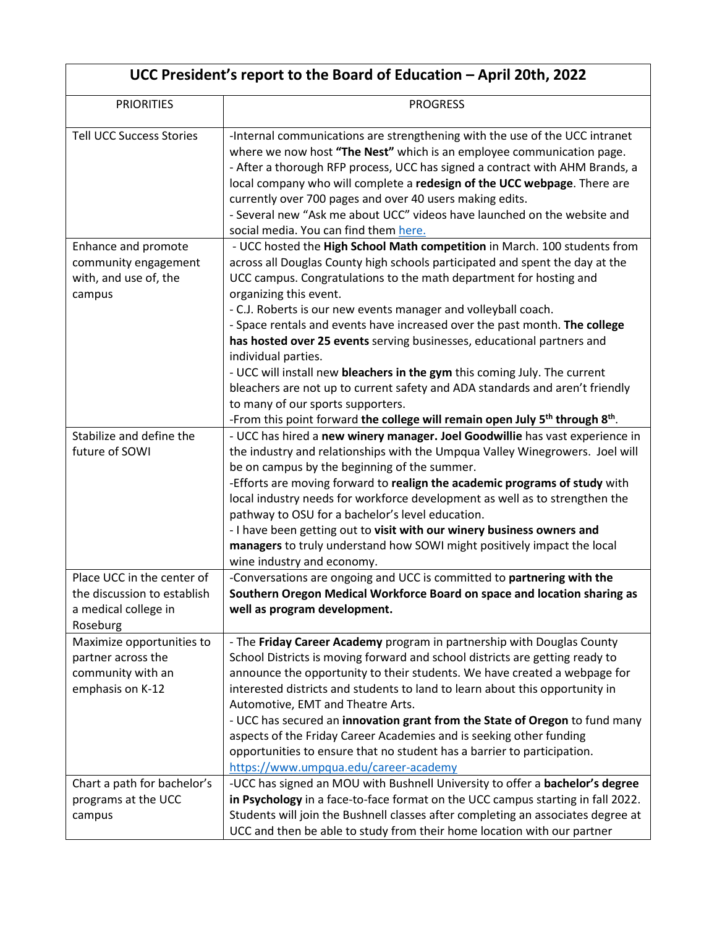| UCC President's report to the Board of Education - April 20th, 2022                                                     |                                                                                                                                                                                                                                                                                                                                                                                                                                                                                                                                                                                                                                                                                                                                                                                                                      |  |
|-------------------------------------------------------------------------------------------------------------------------|----------------------------------------------------------------------------------------------------------------------------------------------------------------------------------------------------------------------------------------------------------------------------------------------------------------------------------------------------------------------------------------------------------------------------------------------------------------------------------------------------------------------------------------------------------------------------------------------------------------------------------------------------------------------------------------------------------------------------------------------------------------------------------------------------------------------|--|
| <b>PRIORITIES</b>                                                                                                       | <b>PROGRESS</b>                                                                                                                                                                                                                                                                                                                                                                                                                                                                                                                                                                                                                                                                                                                                                                                                      |  |
| <b>Tell UCC Success Stories</b>                                                                                         | -Internal communications are strengthening with the use of the UCC intranet<br>where we now host "The Nest" which is an employee communication page.<br>- After a thorough RFP process, UCC has signed a contract with AHM Brands, a<br>local company who will complete a redesign of the UCC webpage. There are<br>currently over 700 pages and over 40 users making edits.<br>- Several new "Ask me about UCC" videos have launched on the website and<br>social media. You can find them here.                                                                                                                                                                                                                                                                                                                    |  |
| Enhance and promote<br>community engagement<br>with, and use of, the<br>campus                                          | - UCC hosted the High School Math competition in March. 100 students from<br>across all Douglas County high schools participated and spent the day at the<br>UCC campus. Congratulations to the math department for hosting and<br>organizing this event.<br>- C.J. Roberts is our new events manager and volleyball coach.<br>- Space rentals and events have increased over the past month. The college<br>has hosted over 25 events serving businesses, educational partners and<br>individual parties.<br>- UCC will install new bleachers in the gym this coming July. The current<br>bleachers are not up to current safety and ADA standards and aren't friendly<br>to many of our sports supporters.<br>-From this point forward the college will remain open July 5 <sup>th</sup> through 8 <sup>th</sup> . |  |
| Stabilize and define the<br>future of SOWI                                                                              | - UCC has hired a new winery manager. Joel Goodwillie has vast experience in<br>the industry and relationships with the Umpqua Valley Winegrowers. Joel will<br>be on campus by the beginning of the summer.<br>-Efforts are moving forward to realign the academic programs of study with<br>local industry needs for workforce development as well as to strengthen the<br>pathway to OSU for a bachelor's level education.<br>- I have been getting out to visit with our winery business owners and<br>managers to truly understand how SOWI might positively impact the local<br>wine industry and economy.                                                                                                                                                                                                     |  |
| Place UCC in the center of<br>the discussion to establish<br>a medical college in<br>Roseburg                           | -Conversations are ongoing and UCC is committed to partnering with the<br>Southern Oregon Medical Workforce Board on space and location sharing as<br>well as program development.                                                                                                                                                                                                                                                                                                                                                                                                                                                                                                                                                                                                                                   |  |
| Maximize opportunities to<br>partner across the<br>community with an<br>emphasis on K-12<br>Chart a path for bachelor's | - The Friday Career Academy program in partnership with Douglas County<br>School Districts is moving forward and school districts are getting ready to<br>announce the opportunity to their students. We have created a webpage for<br>interested districts and students to land to learn about this opportunity in<br>Automotive, EMT and Theatre Arts.<br>- UCC has secured an innovation grant from the State of Oregon to fund many<br>aspects of the Friday Career Academies and is seeking other funding<br>opportunities to ensure that no student has a barrier to participation.<br>https://www.umpqua.edu/career-academy<br>-UCC has signed an MOU with Bushnell University to offer a bachelor's degree                                                                                                   |  |
| programs at the UCC<br>campus                                                                                           | in Psychology in a face-to-face format on the UCC campus starting in fall 2022.<br>Students will join the Bushnell classes after completing an associates degree at<br>UCC and then be able to study from their home location with our partner                                                                                                                                                                                                                                                                                                                                                                                                                                                                                                                                                                       |  |